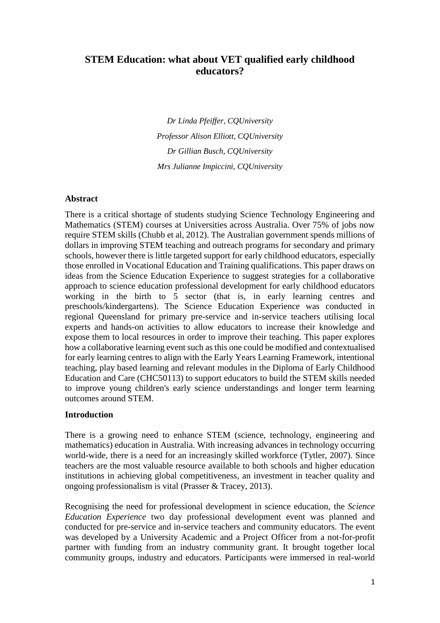# **STEM Education: what about VET qualified early childhood educators?**

*Dr Linda Pfeiffer, CQUniversity Professor Alison Elliott, CQUniversity Dr Gillian Busch, CQUniversity Mrs Julianne Impiccini, CQUniversity*

### **Abstract**

There is a critical shortage of students studying Science Technology Engineering and Mathematics (STEM) courses at Universities across Australia. Over 75% of jobs now require STEM skills (Chubb et al, 2012). The Australian government spends millions of dollars in improving STEM teaching and outreach programs for secondary and primary schools, however there is little targeted support for early childhood educators, especially those enrolled in Vocational Education and Training qualifications. This paper draws on ideas from the Science Education Experience to suggest strategies for a collaborative approach to science education professional development for early childhood educators working in the birth to 5 sector (that is, in early learning centres and preschools/kindergartens). The Science Education Experience was conducted in regional Queensland for primary pre-service and in-service teachers utilising local experts and hands-on activities to allow educators to increase their knowledge and expose them to local resources in order to improve their teaching. This paper explores how a collaborative learning event such as this one could be modified and contextualised for early learning centres to align with the Early Years Learning Framework, intentional teaching, play based learning and relevant modules in the Diploma of Early Childhood Education and Care (CHC50113) to support educators to build the STEM skills needed to improve young children's early science understandings and longer term learning outcomes around STEM.

### **Introduction**

There is a growing need to enhance STEM (science, technology, engineering and mathematics) education in Australia. With increasing advances in technology occurring world-wide, there is a need for an increasingly skilled workforce (Tytler, 2007). Since teachers are the most valuable resource available to both schools and higher education institutions in achieving global competitiveness, an investment in teacher quality and ongoing professionalism is vital (Prasser & Tracey, 2013).

Recognising the need for professional development in science education, the *Science Education Experience* two day professional development event was planned and conducted for pre-service and in-service teachers and community educators. The event was developed by a University Academic and a Project Officer from a not-for-profit partner with funding from an industry community grant. It brought together local community groups, industry and educators. Participants were immersed in real-world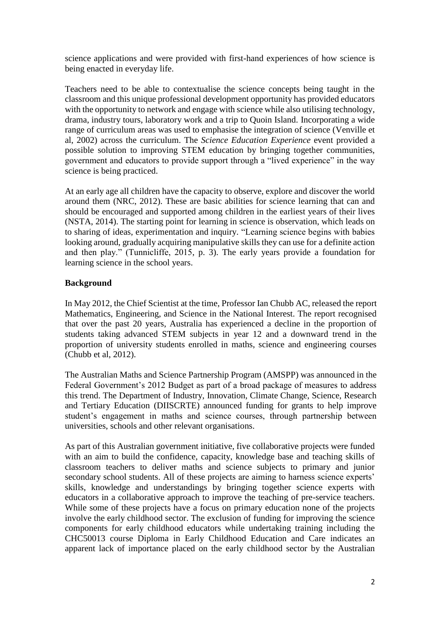science applications and were provided with first-hand experiences of how science is being enacted in everyday life.

Teachers need to be able to contextualise the science concepts being taught in the classroom and this unique professional development opportunity has provided educators with the opportunity to network and engage with science while also utilising technology, drama, industry tours, laboratory work and a trip to Quoin Island. Incorporating a wide range of curriculum areas was used to emphasise the integration of science (Venville et al, 2002) across the curriculum. The *Science Education Experience* event provided a possible solution to improving STEM education by bringing together communities, government and educators to provide support through a "lived experience" in the way science is being practiced.

At an early age all children have the capacity to observe, explore and discover the world around them (NRC, 2012). These are basic abilities for science learning that can and should be encouraged and supported among children in the earliest years of their lives (NSTA, 2014). The starting point for learning in science is observation, which leads on to sharing of ideas, experimentation and inquiry. "Learning science begins with babies looking around, gradually acquiring manipulative skills they can use for a definite action and then play." (Tunnicliffe, 2015, p. 3). The early years provide a foundation for learning science in the school years.

## **Background**

In May 2012, the Chief Scientist at the time, Professor Ian Chubb AC, released the report Mathematics, Engineering, and Science in the National Interest. The report recognised that over the past 20 years, Australia has experienced a decline in the proportion of students taking advanced STEM subjects in year 12 and a downward trend in the proportion of university students enrolled in maths, science and engineering courses (Chubb et al, 2012).

The Australian Maths and Science Partnership Program (AMSPP) was announced in the Federal Government's 2012 Budget as part of a broad package of measures to address this trend. The Department of Industry, Innovation, Climate Change, Science, Research and Tertiary Education (DIISCRTE) announced funding for grants to help improve student's engagement in maths and science courses, through partnership between universities, schools and other relevant organisations.

As part of this Australian government initiative, five collaborative projects were funded with an aim to build the confidence, capacity, knowledge base and teaching skills of classroom teachers to deliver maths and science subjects to primary and junior secondary school students. All of these projects are aiming to harness science experts' skills, knowledge and understandings by bringing together science experts with educators in a collaborative approach to improve the teaching of pre-service teachers. While some of these projects have a focus on primary education none of the projects involve the early childhood sector. The exclusion of funding for improving the science components for early childhood educators while undertaking training including the CHC50013 course Diploma in Early Childhood Education and Care indicates an apparent lack of importance placed on the early childhood sector by the Australian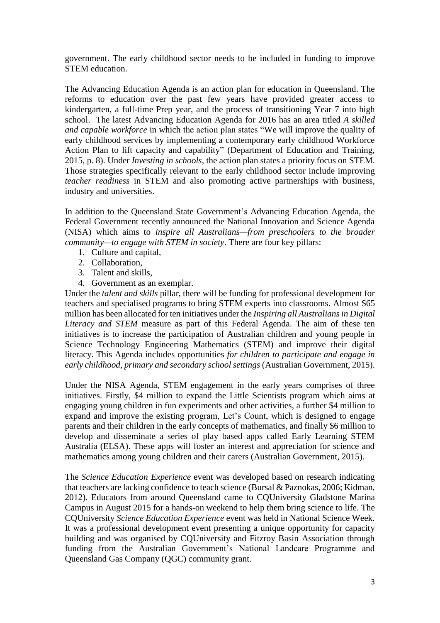government. The early childhood sector needs to be included in funding to improve STEM education.

The Advancing Education Agenda is an action plan for education in Queensland. The reforms to education over the past few years have provided greater access to kindergarten, a full-time Prep year, and the process of transitioning Year 7 into high school. The latest Advancing Education Agenda for 2016 has an area titled *A skilled and capable workforce* in which the action plan states "We will improve the quality of early childhood services by implementing a contemporary early childhood Workforce Action Plan to lift capacity and capability" (Department of Education and Training, 2015, p. 8). Under *Investing in schools*, the action plan states a priority focus on STEM. Those strategies specifically relevant to the early childhood sector include improving *teacher readiness* in STEM and also promoting active partnerships with business, industry and universities.

In addition to the Queensland State Government's Advancing Education Agenda, the Federal Government recently announced the National Innovation and Science Agenda (NISA) which aims to *inspire all Australians—from preschoolers to the broader community—to engage with STEM in society*. There are four key pillars:

- 1. Culture and capital,
- 2. Collaboration,
- 3. Talent and skills,
- 4. Government as an exemplar.

Under the *talent and skills* pillar, there will be funding for professional development for teachers and specialised programs to bring STEM experts into classrooms. Almost \$65 million has been allocated for ten initiatives under the *Inspiring all Australians in Digital Literacy and STEM* measure as part of this Federal Agenda. The aim of these ten initiatives is to increase the participation of Australian children and young people in Science Technology Engineering Mathematics (STEM) and improve their digital literacy. This Agenda includes opportunities *for children to participate and engage in early childhood, primary and secondary school settings* (Australian Government, 2015).

Under the NISA Agenda, STEM engagement in the early years comprises of three initiatives. Firstly, \$4 million to expand the Little Scientists program which aims at engaging young children in fun experiments and other activities, a further \$4 million to expand and improve the existing program, Let's Count, which is designed to engage parents and their children in the early concepts of mathematics, and finally \$6 million to develop and disseminate a series of play based apps called Early Learning STEM Australia (ELSA). These apps will foster an interest and appreciation for science and mathematics among young children and their carers (Australian Government, 2015).

The *Science Education Experience* event was developed based on research indicating that teachers are lacking confidence to teach science (Bursal & Paznokas, 2006; Kidman, 2012). Educators from around Queensland came to CQUniversity Gladstone Marina Campus in August 2015 for a hands-on weekend to help them bring science to life. The CQUniversity *Science Education Experience* event was held in National Science Week. It was a professional development event presenting a unique opportunity for capacity building and was organised by CQUniversity and Fitzroy Basin Association through funding from the Australian Government's National Landcare Programme and Queensland Gas Company (QGC) community grant.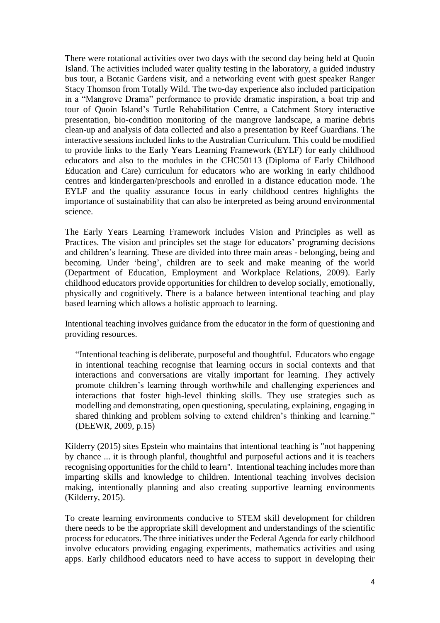There were rotational activities over two days with the second day being held at Quoin Island. The activities included water quality testing in the laboratory, a guided industry bus tour, a Botanic Gardens visit, and a networking event with guest speaker Ranger Stacy Thomson from Totally Wild. The two-day experience also included participation in a "Mangrove Drama" performance to provide dramatic inspiration, a boat trip and tour of Quoin Island's Turtle Rehabilitation Centre, a Catchment Story interactive presentation, bio-condition monitoring of the mangrove landscape, a marine debris clean-up and analysis of data collected and also a presentation by Reef Guardians. The interactive sessions included links to the Australian Curriculum. This could be modified to provide links to the Early Years Learning Framework (EYLF) for early childhood educators and also to the modules in the CHC50113 (Diploma of Early Childhood Education and Care) curriculum for educators who are working in early childhood centres and kindergarten/preschools and enrolled in a distance education mode. The EYLF and the quality assurance focus in early childhood centres highlights the importance of sustainability that can also be interpreted as being around environmental science.

The Early Years Learning Framework includes Vision and Principles as well as Practices. The vision and principles set the stage for educators' programing decisions and children's learning. These are divided into three main areas - belonging, being and becoming. Under 'being', children are to seek and make meaning of the world (Department of Education, Employment and Workplace Relations, 2009). Early childhood educators provide opportunities for children to develop socially, emotionally, physically and cognitively. There is a balance between intentional teaching and play based learning which allows a holistic approach to learning.

Intentional teaching involves guidance from the educator in the form of questioning and providing resources.

"Intentional teaching is deliberate, purposeful and thoughtful. Educators who engage in intentional teaching recognise that learning occurs in social contexts and that interactions and conversations are vitally important for learning. They actively promote children's learning through worthwhile and challenging experiences and interactions that foster high-level thinking skills. They use strategies such as modelling and demonstrating, open questioning, speculating, explaining, engaging in shared thinking and problem solving to extend children's thinking and learning." (DEEWR, 2009, p.15)

Kilderry (2015) sites Epstein who maintains that intentional teaching is "not happening by chance ... it is through planful, thoughtful and purposeful actions and it is teachers recognising opportunities for the child to learn". Intentional teaching includes more than imparting skills and knowledge to children. Intentional teaching involves decision making, intentionally planning and also creating supportive learning environments (Kilderry, 2015).

To create learning environments conducive to STEM skill development for children there needs to be the appropriate skill development and understandings of the scientific process for educators. The three initiatives under the Federal Agenda for early childhood involve educators providing engaging experiments, mathematics activities and using apps. Early childhood educators need to have access to support in developing their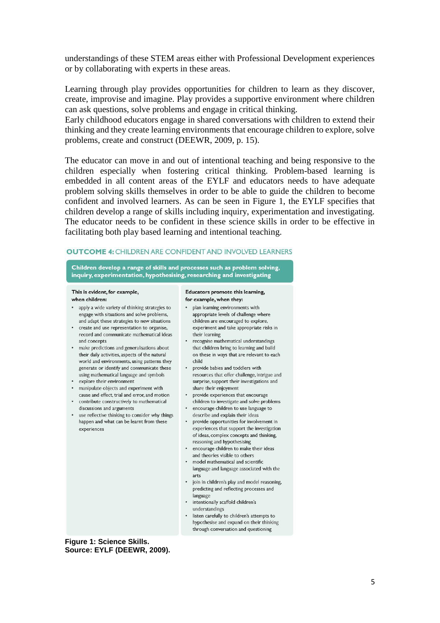understandings of these STEM areas either with Professional Development experiences or by collaborating with experts in these areas.

Learning through play provides opportunities for children to learn as they discover, create, improvise and imagine. Play provides a supportive environment where children can ask questions, solve problems and engage in critical thinking.

Early childhood educators engage in shared conversations with children to extend their thinking and they create learning environments that encourage children to explore, solve problems, create and construct (DEEWR, 2009, p. 15).

The educator can move in and out of intentional teaching and being responsive to the children especially when fostering critical thinking. Problem-based learning is embedded in all content areas of the EYLF and educators needs to have adequate problem solving skills themselves in order to be able to guide the children to become confident and involved learners. As can be seen in Figure 1, the EYLF specifies that children develop a range of skills including inquiry, experimentation and investigating. The educator needs to be confident in these science skills in order to be effective in facilitating both play based learning and intentional teaching.

### **OUTCOME 4: CHILDREN ARE CONFIDENT AND INVOLVED LEARNERS**

Children develop a range of skills and processes such as problem solving, inquiry, experimentation, hypothesising, researching and investigating

#### This is evident, for example. when children:

- apply a wide variety of thinking strategies to engage with situations and solve problems, and adapt these strategies to new situations
- create and use representation to organise. record and communicate mathematical ideas and concents
- make predictions and generalisations about their daily activities, aspects of the natural world and environments, using patterns they generate or identify and communicate these using mathematical language and symbols
- explore their environment
- · manipulate objects and experiment with cause and effect, trial and error, and motion
- contribute constructively to mathematical discussions and arguments
- use reflective thinking to consider why things happen and what can be learnt from these experiences

#### Educators promote this learning. for example, when they:

- · plan learning environments with appropriate levels of challenge where children are encouraged to explore. experiment and take appropriate risks in their learning
- recognise mathematical understandings that children bring to learning and build on these in ways that are relevant to each child
- provide babies and toddlers with resources that offer challenge, intrigue and surprise, support their investigations and share their enjoyment
- · provide experiences that encourage children to investigate and solve problems
- encourage children to use language to describe and explain their ideas
- provide opportunities for involvement in experiences that support the investigation of ideas, complex concepts and thinking, reasoning and hypothesising
- · encourage children to make their ideas and theories visible to others
- · model mathematical and scientific language and language associated with the arts
- join in children's play and model reasoning, predicting and reflecting processes and language
- intentionally scaffold children's understandings
- listen carefully to children's attempts to hypothesise and expand on their thinking through conversation and questioning

**Figure 1: Science Skills. Source: EYLF (DEEWR, 2009).**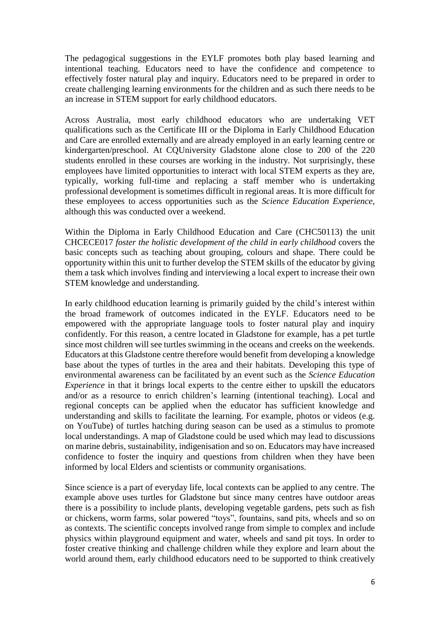The pedagogical suggestions in the EYLF promotes both play based learning and intentional teaching. Educators need to have the confidence and competence to effectively foster natural play and inquiry. Educators need to be prepared in order to create challenging learning environments for the children and as such there needs to be an increase in STEM support for early childhood educators.

Across Australia, most early childhood educators who are undertaking VET qualifications such as the Certificate III or the Diploma in Early Childhood Education and Care are enrolled externally and are already employed in an early learning centre or kindergarten/preschool. At CQUniversity Gladstone alone close to 200 of the 220 students enrolled in these courses are working in the industry. Not surprisingly, these employees have limited opportunities to interact with local STEM experts as they are, typically, working full-time and replacing a staff member who is undertaking professional development is sometimes difficult in regional areas. It is more difficult for these employees to access opportunities such as the *Science Education Experience*, although this was conducted over a weekend.

Within the Diploma in Early Childhood Education and Care (CHC50113) the unit CHCECE017 *foster the holistic development of the child in early childhood* covers the basic concepts such as teaching about grouping, colours and shape. There could be opportunity within this unit to further develop the STEM skills of the educator by giving them a task which involves finding and interviewing a local expert to increase their own STEM knowledge and understanding.

In early childhood education learning is primarily guided by the child's interest within the broad framework of outcomes indicated in the EYLF. Educators need to be empowered with the appropriate language tools to foster natural play and inquiry confidently. For this reason, a centre located in Gladstone for example, has a pet turtle since most children will see turtles swimming in the oceans and creeks on the weekends. Educators at this Gladstone centre therefore would benefit from developing a knowledge base about the types of turtles in the area and their habitats. Developing this type of environmental awareness can be facilitated by an event such as the *Science Education Experience* in that it brings local experts to the centre either to upskill the educators and/or as a resource to enrich children's learning (intentional teaching). Local and regional concepts can be applied when the educator has sufficient knowledge and understanding and skills to facilitate the learning. For example, photos or videos (e.g. on YouTube) of turtles hatching during season can be used as a stimulus to promote local understandings. A map of Gladstone could be used which may lead to discussions on marine debris, sustainability, indigenisation and so on. Educators may have increased confidence to foster the inquiry and questions from children when they have been informed by local Elders and scientists or community organisations.

Since science is a part of everyday life, local contexts can be applied to any centre. The example above uses turtles for Gladstone but since many centres have outdoor areas there is a possibility to include plants, developing vegetable gardens, pets such as fish or chickens, worm farms, solar powered "toys", fountains, sand pits, wheels and so on as contexts. The scientific concepts involved range from simple to complex and include physics within playground equipment and water, wheels and sand pit toys. In order to foster creative thinking and challenge children while they explore and learn about the world around them, early childhood educators need to be supported to think creatively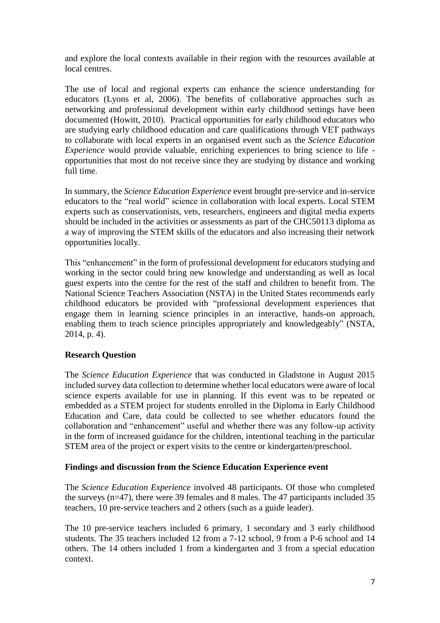and explore the local contexts available in their region with the resources available at local centres.

The use of local and regional experts can enhance the science understanding for educators (Lyons et al, 2006). The benefits of collaborative approaches such as networking and professional development within early childhood settings have been documented (Howitt, 2010). Practical opportunities for early childhood educators who are studying early childhood education and care qualifications through VET pathways to collaborate with local experts in an organised event such as the *Science Education Experience* would provide valuable, enriching experiences to bring science to life opportunities that most do not receive since they are studying by distance and working full time.

In summary, the *Science Education Experience* event brought pre-service and in-service educators to the "real world" science in collaboration with local experts. Local STEM experts such as conservationists, vets, researchers, engineers and digital media experts should be included in the activities or assessments as part of the CHC50113 diploma as a way of improving the STEM skills of the educators and also increasing their network opportunities locally.

This "enhancement" in the form of professional development for educators studying and working in the sector could bring new knowledge and understanding as well as local guest experts into the centre for the rest of the staff and children to benefit from. The National Science Teachers Association (NSTA) in the United States recommends early childhood educators be provided with "professional development experiences that engage them in learning science principles in an interactive, hands-on approach, enabling them to teach science principles appropriately and knowledgeably" (NSTA, 2014, p. 4).

## **Research Question**

The *Science Education Experience* that was conducted in Gladstone in August 2015 included survey data collection to determine whether local educators were aware of local science experts available for use in planning. If this event was to be repeated or embedded as a STEM project for students enrolled in the Diploma in Early Childhood Education and Care, data could be collected to see whether educators found the collaboration and "enhancement" useful and whether there was any follow-up activity in the form of increased guidance for the children, intentional teaching in the particular STEM area of the project or expert visits to the centre or kindergarten/preschool.

### **Findings and discussion from the Science Education Experience event**

The *Science Education Experience* involved 48 participants. Of those who completed the surveys (n=47), there were 39 females and 8 males. The 47 participants included 35 teachers, 10 pre-service teachers and 2 others (such as a guide leader).

The 10 pre-service teachers included 6 primary, 1 secondary and 3 early childhood students. The 35 teachers included 12 from a 7-12 school, 9 from a P-6 school and 14 others. The 14 others included 1 from a kindergarten and 3 from a special education context.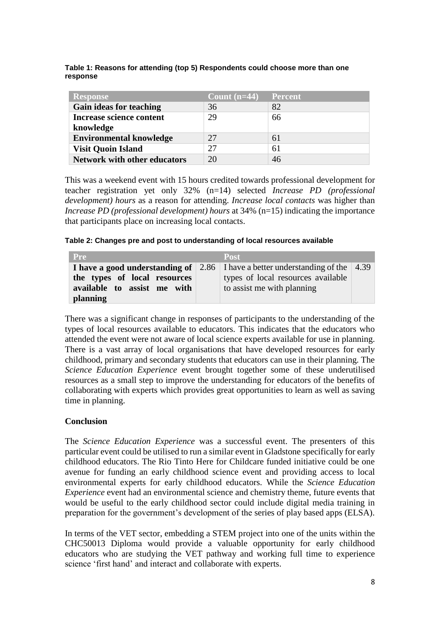| <b>Response</b>                     | Count $(n=44)$ | <b>Percent</b> |
|-------------------------------------|----------------|----------------|
| Gain ideas for teaching             | 36             | 82             |
| <b>Increase science content</b>     | 29             | 66             |
| knowledge                           |                |                |
| <b>Environmental knowledge</b>      | 27             | 61             |
| <b>Visit Quoin Island</b>           | 27             | 61             |
| <b>Network with other educators</b> | 20             | 46             |

**Table 1: Reasons for attending (top 5) Respondents could choose more than one response**

This was a weekend event with 15 hours credited towards professional development for teacher registration yet only 32% (n=14) selected *Increase PD (professional development) hours* as a reason for attending. *Increase local contacts* was higher than *Increase PD (professional development) hours* at 34% (n=15) indicating the importance that participants place on increasing local contacts.

### **Table 2: Changes pre and post to understanding of local resources available**

| <b>Pre</b>                   | Post                                                                                 |  |
|------------------------------|--------------------------------------------------------------------------------------|--|
|                              | <b>I have a good understanding of</b> 2.86 I have a better understanding of the 4.39 |  |
| the types of local resources | types of local resources available                                                   |  |
| available to assist me with  | to assist me with planning                                                           |  |
| <i>planning</i>              |                                                                                      |  |

There was a significant change in responses of participants to the understanding of the types of local resources available to educators. This indicates that the educators who attended the event were not aware of local science experts available for use in planning. There is a vast array of local organisations that have developed resources for early childhood, primary and secondary students that educators can use in their planning. The *Science Education Experience* event brought together some of these underutilised resources as a small step to improve the understanding for educators of the benefits of collaborating with experts which provides great opportunities to learn as well as saving time in planning.

## **Conclusion**

The *Science Education Experience* was a successful event. The presenters of this particular event could be utilised to run a similar event in Gladstone specifically for early childhood educators. The Rio Tinto Here for Childcare funded initiative could be one avenue for funding an early childhood science event and providing access to local environmental experts for early childhood educators. While the *Science Education Experience* event had an environmental science and chemistry theme, future events that would be useful to the early childhood sector could include digital media training in preparation for the government's development of the series of play based apps (ELSA).

In terms of the VET sector, embedding a STEM project into one of the units within the CHC50013 Diploma would provide a valuable opportunity for early childhood educators who are studying the VET pathway and working full time to experience science 'first hand' and interact and collaborate with experts.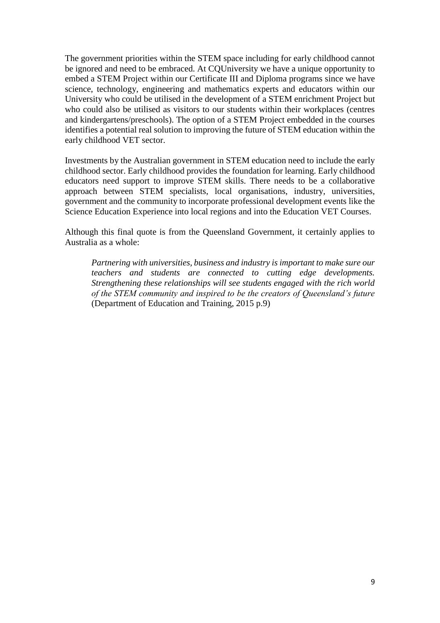The government priorities within the STEM space including for early childhood cannot be ignored and need to be embraced. At CQUniversity we have a unique opportunity to embed a STEM Project within our Certificate III and Diploma programs since we have science, technology, engineering and mathematics experts and educators within our University who could be utilised in the development of a STEM enrichment Project but who could also be utilised as visitors to our students within their workplaces (centres and kindergartens/preschools). The option of a STEM Project embedded in the courses identifies a potential real solution to improving the future of STEM education within the early childhood VET sector.

Investments by the Australian government in STEM education need to include the early childhood sector. Early childhood provides the foundation for learning. Early childhood educators need support to improve STEM skills. There needs to be a collaborative approach between STEM specialists, local organisations, industry, universities, government and the community to incorporate professional development events like the Science Education Experience into local regions and into the Education VET Courses.

Although this final quote is from the Queensland Government, it certainly applies to Australia as a whole:

*Partnering with universities, business and industry is important to make sure our teachers and students are connected to cutting edge developments. Strengthening these relationships will see students engaged with the rich world of the STEM community and inspired to be the creators of Queensland's future* (Department of Education and Training, 2015 p.9)